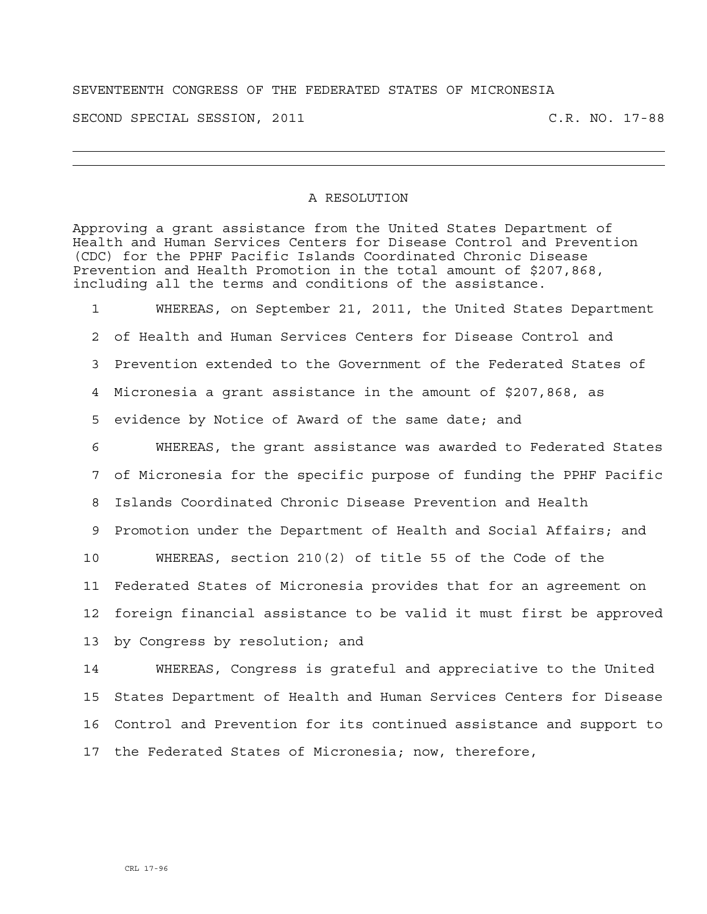## SEVENTEENTH CONGRESS OF THE FEDERATED STATES OF MICRONESIA

SECOND SPECIAL SESSION, 2011 C.R. NO. 17-88

## A RESOLUTION

Approving a grant assistance from the United States Department of Health and Human Services Centers for Disease Control and Prevention (CDC) for the PPHF Pacific Islands Coordinated Chronic Disease Prevention and Health Promotion in the total amount of \$207,868, including all the terms and conditions of the assistance.

1 WHEREAS, on September 21, 2011, the United States Department 2 of Health and Human Services Centers for Disease Control and 3 Prevention extended to the Government of the Federated States of 4 Micronesia a grant assistance in the amount of \$207,868, as 5 evidence by Notice of Award of the same date; and 6 WHEREAS, the grant assistance was awarded to Federated States 7 of Micronesia for the specific purpose of funding the PPHF Pacific 8 Islands Coordinated Chronic Disease Prevention and Health 9 Promotion under the Department of Health and Social Affairs; and 10 WHEREAS, section 210(2) of title 55 of the Code of the 11 Federated States of Micronesia provides that for an agreement on 12 foreign financial assistance to be valid it must first be approved 13 by Congress by resolution; and

14 WHEREAS, Congress is grateful and appreciative to the United 15 States Department of Health and Human Services Centers for Disease 16 Control and Prevention for its continued assistance and support to 17 the Federated States of Micronesia; now, therefore,